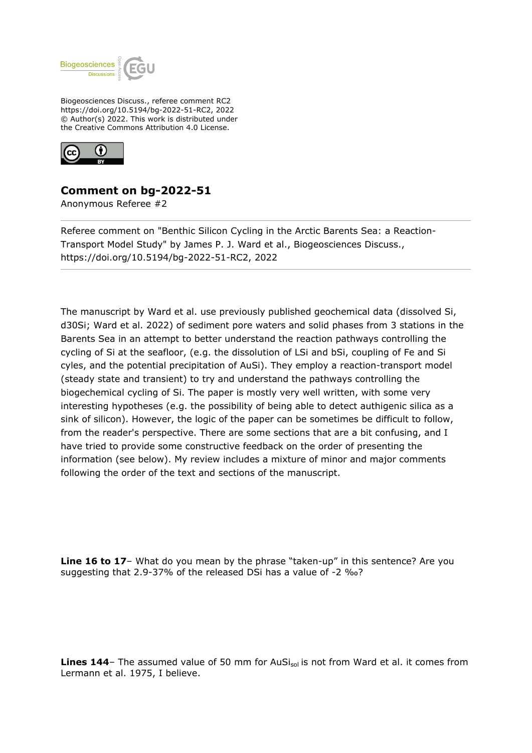

Biogeosciences Discuss., referee comment RC2 https://doi.org/10.5194/bg-2022-51-RC2, 2022 © Author(s) 2022. This work is distributed under the Creative Commons Attribution 4.0 License.



## **Comment on bg-2022-51**

Anonymous Referee #2

Referee comment on "Benthic Silicon Cycling in the Arctic Barents Sea: a Reaction-Transport Model Study" by James P. J. Ward et al., Biogeosciences Discuss., https://doi.org/10.5194/bg-2022-51-RC2, 2022

The manuscript by Ward et al. use previously published geochemical data (dissolved Si, d30Si; Ward et al. 2022) of sediment pore waters and solid phases from 3 stations in the Barents Sea in an attempt to better understand the reaction pathways controlling the cycling of Si at the seafloor, (e.g. the dissolution of LSi and bSi, coupling of Fe and Si cyles, and the potential precipitation of AuSi). They employ a reaction-transport model (steady state and transient) to try and understand the pathways controlling the biogechemical cycling of Si. The paper is mostly very well written, with some very interesting hypotheses (e.g. the possibility of being able to detect authigenic silica as a sink of silicon). However, the logic of the paper can be sometimes be difficult to follow, from the reader's perspective. There are some sections that are a bit confusing, and I have tried to provide some constructive feedback on the order of presenting the information (see below). My review includes a mixture of minor and major comments following the order of the text and sections of the manuscript.

**Line 16 to 17**– What do you mean by the phrase "taken-up" in this sentence? Are you suggesting that 2.9-37% of the released DSi has a value of -2 ‰?

**Lines 144** – The assumed value of 50 mm for AuSi<sub>sol</sub> is not from Ward et al. it comes from Lermann et al. 1975, I believe.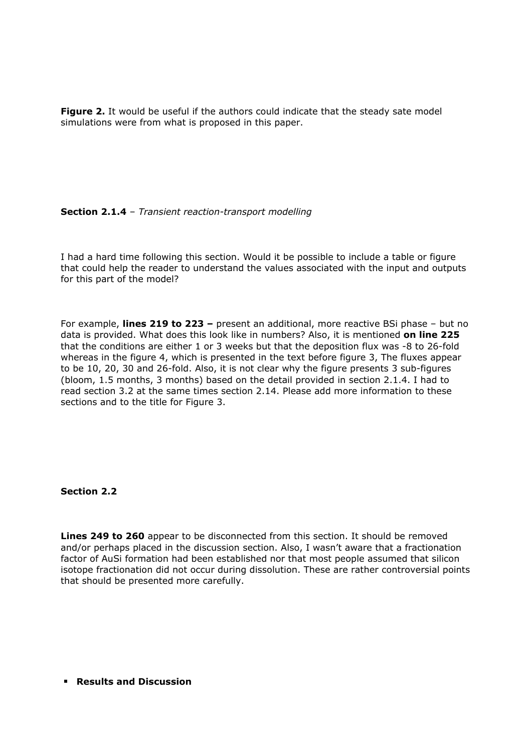Figure 2. It would be useful if the authors could indicate that the steady sate model simulations were from what is proposed in this paper.

## **Section 2.1.4** – *Transient reaction-transport modelling*

I had a hard time following this section. Would it be possible to include a table or figure that could help the reader to understand the values associated with the input and outputs for this part of the model?

For example, **lines 219 to 223 –** present an additional, more reactive BSi phase – but no data is provided. What does this look like in numbers? Also, it is mentioned **on line 225** that the conditions are either 1 or 3 weeks but that the deposition flux was -8 to 26-fold whereas in the figure 4, which is presented in the text before figure 3, The fluxes appear to be 10, 20, 30 and 26-fold. Also, it is not clear why the figure presents 3 sub-figures (bloom, 1.5 months, 3 months) based on the detail provided in section 2.1.4. I had to read section 3.2 at the same times section 2.14. Please add more information to these sections and to the title for Figure 3.

## **Section 2.2**

**Lines 249 to 260** appear to be disconnected from this section. It should be removed and/or perhaps placed in the discussion section. Also, I wasn't aware that a fractionation factor of AuSi formation had been established nor that most people assumed that silicon isotope fractionation did not occur during dissolution. These are rather controversial points that should be presented more carefully.

## **Results and Discussion**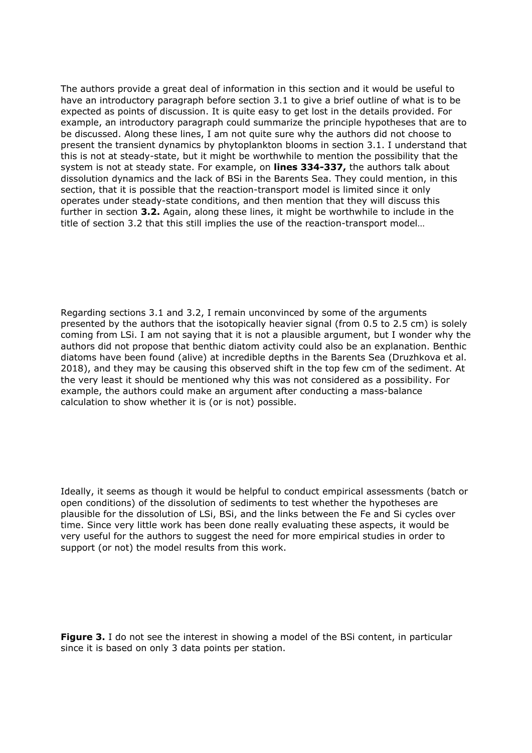The authors provide a great deal of information in this section and it would be useful to have an introductory paragraph before section 3.1 to give a brief outline of what is to be expected as points of discussion. It is quite easy to get lost in the details provided. For example, an introductory paragraph could summarize the principle hypotheses that are to be discussed. Along these lines, I am not quite sure why the authors did not choose to present the transient dynamics by phytoplankton blooms in section 3.1. I understand that this is not at steady-state, but it might be worthwhile to mention the possibility that the system is not at steady state. For example, on **lines 334-337,** the authors talk about dissolution dynamics and the lack of BSi in the Barents Sea. They could mention, in this section, that it is possible that the reaction-transport model is limited since it only operates under steady-state conditions, and then mention that they will discuss this further in section **3.2.** Again, along these lines, it might be worthwhile to include in the title of section 3.2 that this still implies the use of the reaction-transport model…

Regarding sections 3.1 and 3.2, I remain unconvinced by some of the arguments presented by the authors that the isotopically heavier signal (from 0.5 to 2.5 cm) is solely coming from LSi. I am not saying that it is not a plausible argument, but I wonder why the authors did not propose that benthic diatom activity could also be an explanation. Benthic diatoms have been found (alive) at incredible depths in the Barents Sea (Druzhkova et al. 2018), and they may be causing this observed shift in the top few cm of the sediment. At the very least it should be mentioned why this was not considered as a possibility. For example, the authors could make an argument after conducting a mass-balance calculation to show whether it is (or is not) possible.

Ideally, it seems as though it would be helpful to conduct empirical assessments (batch or open conditions) of the dissolution of sediments to test whether the hypotheses are plausible for the dissolution of LSi, BSi, and the links between the Fe and Si cycles over time. Since very little work has been done really evaluating these aspects, it would be very useful for the authors to suggest the need for more empirical studies in order to support (or not) the model results from this work.

**Figure 3.** I do not see the interest in showing a model of the BSi content, in particular since it is based on only 3 data points per station.